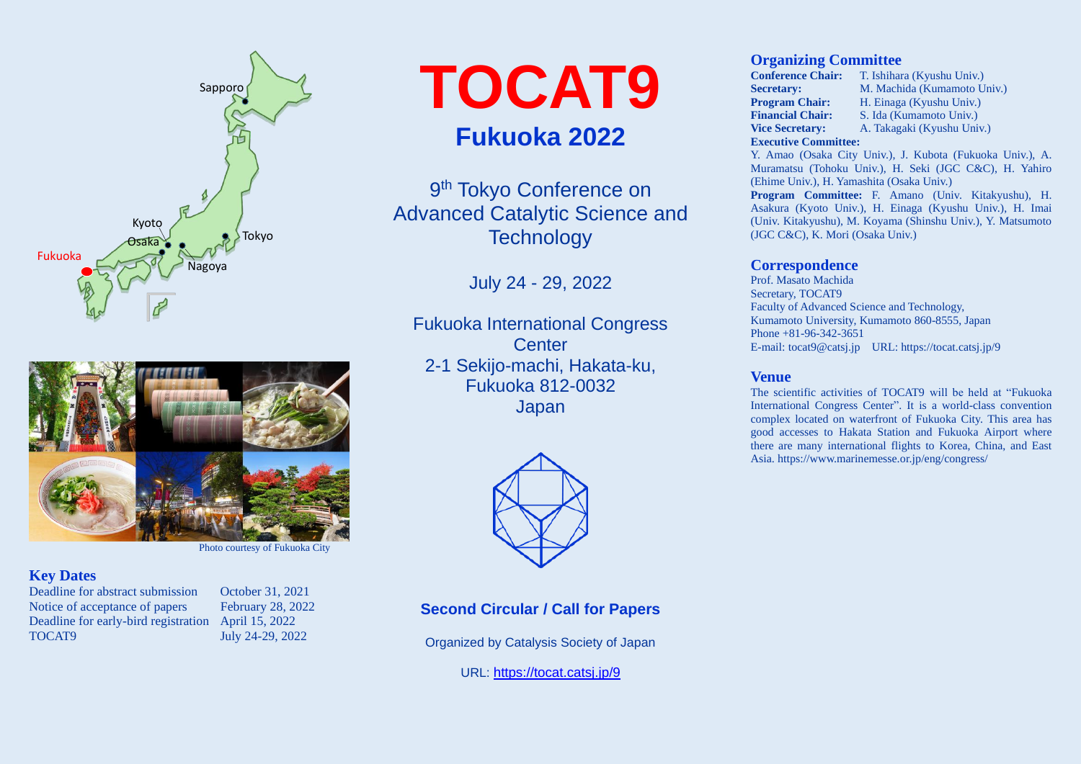



## **Key Dates**

Deadline for abstract submission October 31, 2021 Notice of acceptance of papers February 28, 2022 Deadline for early-bird registration April 15, 2022 TOCAT9 July 24-29, 2022

**TOCAT9 Fukuoka 2022**

9<sup>th</sup> Tokyo Conference on Advanced Catalytic Science and **Technology** 

July 24 - 29, 2022

Fukuoka International Congress **Center** 2-1 Sekijo-machi, Hakata-ku, Fukuoka 812-0032 Japan



**Second Circular / Call for Papers**

Organized by Catalysis Society of Japan

URL: <https://tocat.catsj.jp/9>

### **Organizing Committee**

**Conference Chair:** T. Ishihara (Kyushu Univ.) **Secretary:** M. Machida (Kumamoto Univ.)<br>**Program Chair:** H. Einaga (Kyushu Univ.) **H. Einaga (Kyushu Univ.) Financial Chair:** S. Ida (Kumamoto Univ.) **Vice Secretary:** A. Takagaki (Kyushu Univ.) **Executive Committee:**

Y. Amao (Osaka City Univ.), J. Kubota (Fukuoka Univ.), A. Muramatsu (Tohoku Univ.), H. Seki (JGC C&C), H. Yahiro (Ehime Univ.), H. Yamashita (Osaka Univ.)

**Program Committee:** F. Amano (Univ. Kitakyushu), H. Asakura (Kyoto Univ.), H. Einaga (Kyushu Univ.), H. Imai (Univ. Kitakyushu), M. Koyama (Shinshu Univ.), Y. Matsumoto (JGC C&C), K. Mori (Osaka Univ.)

### **Correspondence**

Prof. Masato Machida Secretary, TOCAT9 Faculty of Advanced Science and Technology, Kumamoto University, Kumamoto 860-8555, Japan Phone +81-96-342-3651 E-mail: tocat9@catsj.jp URL: https://tocat.catsj.jp/9

### **Venue**

The scientific activities of TOCAT9 will be held at "Fukuoka International Congress Center". It is a world-class convention complex located on waterfront of Fukuoka City. This area has good accesses to Hakata Station and Fukuoka Airport where there are many international flights to Korea, China, and East Asia. https://www.marinemesse.or.jp/eng/congress/